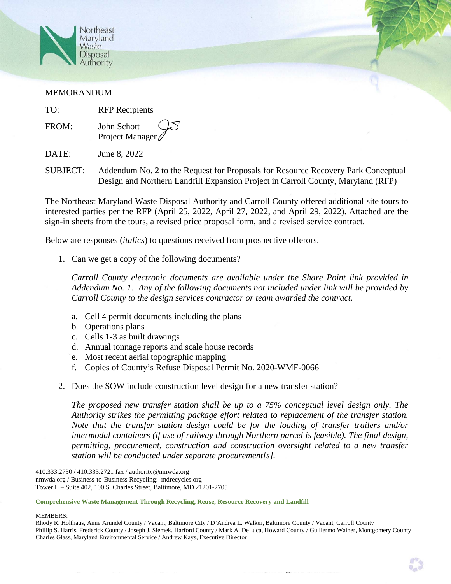

## MEMORANDUM

TO: RFP Recipients

FROM: John Schott Project Manager

DATE: June 8, 2022

SUBJECT: Addendum No. 2 to the Request for Proposals for Resource Recovery Park Conceptual Design and Northern Landfill Expansion Project in Carroll County, Maryland (RFP)

The Northeast Maryland Waste Disposal Authority and Carroll County offered additional site tours to interested parties per the RFP (April 25, 2022, April 27, 2022, and April 29, 2022). Attached are the sign-in sheets from the tours, a revised price proposal form, and a revised service contract.

Below are responses (*italics*) to questions received from prospective offerors.

1. Can we get a copy of the following documents?

*Carroll County electronic documents are available under the Share Point link provided in Addendum No. 1. Any of the following documents not included under link will be provided by Carroll County to the design services contractor or team awarded the contract.* 

- a. Cell 4 permit documents including the plans
- b. Operations plans
- c. Cells 1-3 as built drawings
- d. Annual tonnage reports and scale house records
- e. Most recent aerial topographic mapping
- f. Copies of County's Refuse Disposal Permit No. 2020-WMF-0066
- 2. Does the SOW include construction level design for a new transfer station?

*The proposed new transfer station shall be up to a 75% conceptual level design only. The Authority strikes the permitting package effort related to replacement of the transfer station. Note that the transfer station design could be for the loading of transfer trailers and/or intermodal containers (if use of railway through Northern parcel is feasible). The final design, permitting, procurement, construction and construction oversight related to a new transfer station will be conducted under separate procurement[s].* 

410.333.2730 / 410.333.2721 fax / authority@nmwda.org nmwda.org / Business-to-Business Recycling: mdrecycles.org Tower II – Suite 402, 100 S. Charles Street, Baltimore, MD 21201-2705

## **Comprehensive Waste Management Through Recycling, Reuse, Resource Recovery and Landfill**

## MEMBERS:

Rhody R. Holthaus, Anne Arundel County / Vacant, Baltimore City / D'Andrea L. Walker, Baltimore County / Vacant, Carroll County Phillip S. Harris, Frederick County / Joseph J. Siemek, Harford County / Mark A. DeLuca, Howard County / Guillermo Wainer, Montgomery County Charles Glass, Maryland Environmental Service / Andrew Kays, Executive Director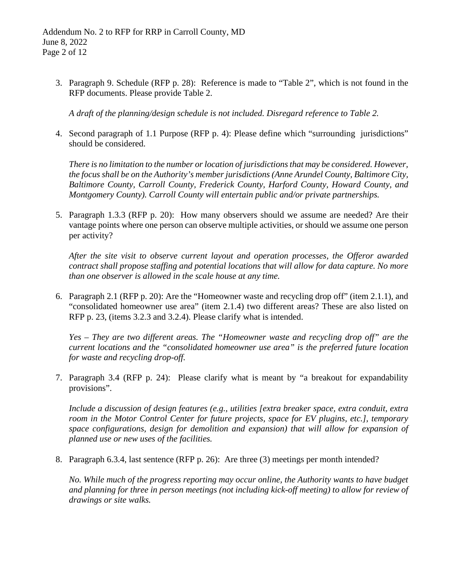3. Paragraph 9. Schedule (RFP p. 28): Reference is made to "Table 2", which is not found in the RFP documents. Please provide Table 2.

*A draft of the planning/design schedule is not included. Disregard reference to Table 2.*

4. Second paragraph of 1.1 Purpose (RFP p. 4): Please define which "surrounding jurisdictions" should be considered.

*There is no limitation to the number or location of jurisdictions that may be considered. However, the focus shall be on the Authority's member jurisdictions (Anne Arundel County, Baltimore City, Baltimore County, Carroll County, Frederick County, Harford County, Howard County, and Montgomery County). Carroll County will entertain public and/or private partnerships.*

5. Paragraph 1.3.3 (RFP p. 20): How many observers should we assume are needed? Are their vantage points where one person can observe multiple activities, or should we assume one person per activity?

*After the site visit to observe current layout and operation processes, the Offeror awarded contract shall propose staffing and potential locations that will allow for data capture. No more than one observer is allowed in the scale house at any time.*

6. Paragraph 2.1 (RFP p. 20): Are the "Homeowner waste and recycling drop off" (item 2.1.1), and "consolidated homeowner use area" (item 2.1.4) two different areas? These are also listed on RFP p. 23, (items 3.2.3 and 3.2.4). Please clarify what is intended.

*Yes – They are two different areas. The "Homeowner waste and recycling drop off" are the current locations and the "consolidated homeowner use area" is the preferred future location for waste and recycling drop-off.*

7. Paragraph 3.4 (RFP p. 24): Please clarify what is meant by "a breakout for expandability provisions".

*Include a discussion of design features (e.g., utilities [extra breaker space, extra conduit, extra room in the Motor Control Center for future projects, space for EV plugins, etc.], temporary space configurations, design for demolition and expansion) that will allow for expansion of planned use or new uses of the facilities.*

8. Paragraph 6.3.4, last sentence (RFP p. 26): Are three (3) meetings per month intended?

*No. While much of the progress reporting may occur online, the Authority wants to have budget and planning for three in person meetings (not including kick-off meeting) to allow for review of drawings or site walks.*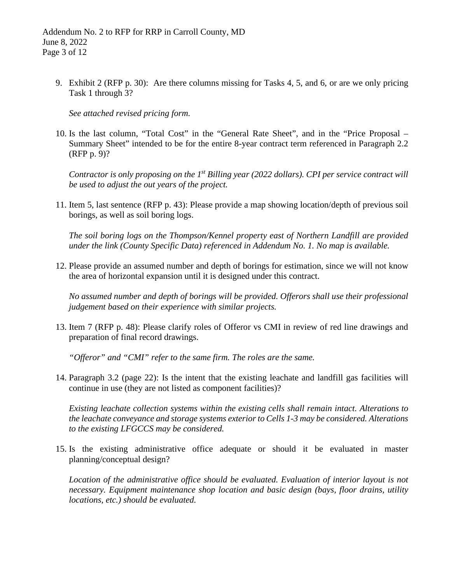9. Exhibit 2 (RFP p. 30): Are there columns missing for Tasks 4, 5, and 6, or are we only pricing Task 1 through 3?

*See attached revised pricing form.*

10. Is the last column, "Total Cost" in the "General Rate Sheet", and in the "Price Proposal – Summary Sheet" intended to be for the entire 8-year contract term referenced in Paragraph 2.2 (RFP p. 9)?

*Contractor is only proposing on the 1st Billing year (2022 dollars). CPI per service contract will be used to adjust the out years of the project.* 

11. Item 5, last sentence (RFP p. 43): Please provide a map showing location/depth of previous soil borings, as well as soil boring logs.

*The soil boring logs on the Thompson/Kennel property east of Northern Landfill are provided under the link (County Specific Data) referenced in Addendum No. 1. No map is available.*

12. Please provide an assumed number and depth of borings for estimation, since we will not know the area of horizontal expansion until it is designed under this contract.

*No assumed number and depth of borings will be provided. Offerors shall use their professional judgement based on their experience with similar projects.*

13. Item 7 (RFP p. 48): Please clarify roles of Offeror vs CMI in review of red line drawings and preparation of final record drawings.

*"Offeror" and "CMI" refer to the same firm. The roles are the same.*

14. Paragraph 3.2 (page 22): Is the intent that the existing leachate and landfill gas facilities will continue in use (they are not listed as component facilities)?

*Existing leachate collection systems within the existing cells shall remain intact. Alterations to the leachate conveyance and storage systems exterior to Cells 1-3 may be considered. Alterations to the existing LFGCCS may be considered.*

15. Is the existing administrative office adequate or should it be evaluated in master planning/conceptual design?

*Location of the administrative office should be evaluated. Evaluation of interior layout is not necessary. Equipment maintenance shop location and basic design (bays, floor drains, utility locations, etc.) should be evaluated.*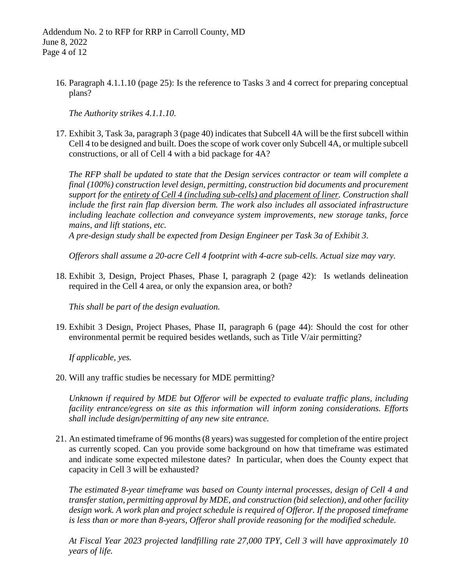16. Paragraph 4.1.1.10 (page 25): Is the reference to Tasks 3 and 4 correct for preparing conceptual plans?

*The Authority strikes 4.1.1.10.*

17. Exhibit 3, Task 3a, paragraph 3 (page 40) indicates that Subcell 4A will be the first subcell within Cell 4 to be designed and built. Does the scope of work cover only Subcell 4A, or multiple subcell constructions, or all of Cell 4 with a bid package for 4A?

*The RFP shall be updated to state that the Design services contractor or team will complete a final (100%) construction level design, permitting, construction bid documents and procurement support for the entirety of Cell 4 (including sub-cells) and placement of liner. Construction shall include the first rain flap diversion berm. The work also includes all associated infrastructure including leachate collection and conveyance system improvements, new storage tanks, force mains, and lift stations, etc.*

*A pre-design study shall be expected from Design Engineer per Task 3a of Exhibit 3.*

*Offerors shall assume a 20-acre Cell 4 footprint with 4-acre sub-cells. Actual size may vary.*

18. Exhibit 3, Design, Project Phases, Phase I, paragraph 2 (page 42): Is wetlands delineation required in the Cell 4 area, or only the expansion area, or both?

*This shall be part of the design evaluation.*

19. Exhibit 3 Design, Project Phases, Phase II, paragraph 6 (page 44): Should the cost for other environmental permit be required besides wetlands, such as Title V/air permitting?

*If applicable, yes.*

20. Will any traffic studies be necessary for MDE permitting?

*Unknown if required by MDE but Offeror will be expected to evaluate traffic plans, including facility entrance/egress on site as this information will inform zoning considerations. Efforts shall include design/permitting of any new site entrance.*

21. An estimated timeframe of 96 months (8 years) was suggested for completion of the entire project as currently scoped. Can you provide some background on how that timeframe was estimated and indicate some expected milestone dates? In particular, when does the County expect that capacity in Cell 3 will be exhausted?

*The estimated 8-year timeframe was based on County internal processes, design of Cell 4 and transfer station, permitting approval by MDE, and construction (bid selection), and other facility design work. A work plan and project schedule is required of Offeror. If the proposed timeframe is less than or more than 8-years, Offeror shall provide reasoning for the modified schedule.*

*At Fiscal Year 2023 projected landfilling rate 27,000 TPY, Cell 3 will have approximately 10 years of life.*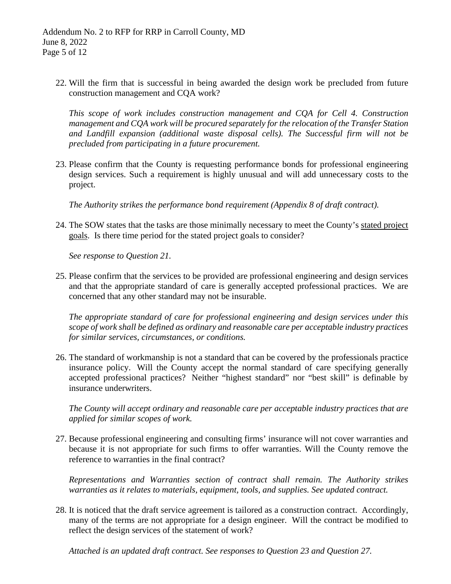22. Will the firm that is successful in being awarded the design work be precluded from future construction management and CQA work?

*This scope of work includes construction management and CQA for Cell 4. Construction management and CQA work will be procured separately for the relocation of the Transfer Station and Landfill expansion (additional waste disposal cells). The Successful firm will not be precluded from participating in a future procurement.*

23. Please confirm that the County is requesting performance bonds for professional engineering design services. Such a requirement is highly unusual and will add unnecessary costs to the project.

*The Authority strikes the performance bond requirement (Appendix 8 of draft contract).*

24. The SOW states that the tasks are those minimally necessary to meet the County's stated project goals. Is there time period for the stated project goals to consider?

*See response to Question 21.*

25. Please confirm that the services to be provided are professional engineering and design services and that the appropriate standard of care is generally accepted professional practices. We are concerned that any other standard may not be insurable.

*The appropriate standard of care for professional engineering and design services under this scope of work shall be defined as ordinary and reasonable care per acceptable industry practices for similar services, circumstances, or conditions.*

26. The standard of workmanship is not a standard that can be covered by the professionals practice insurance policy. Will the County accept the normal standard of care specifying generally accepted professional practices? Neither "highest standard" nor "best skill" is definable by insurance underwriters.

*The County will accept ordinary and reasonable care per acceptable industry practices that are applied for similar scopes of work.*

27. Because professional engineering and consulting firms' insurance will not cover warranties and because it is not appropriate for such firms to offer warranties. Will the County remove the reference to warranties in the final contract?

*Representations and Warranties section of contract shall remain. The Authority strikes warranties as it relates to materials, equipment, tools, and supplies. See updated contract.*

28. It is noticed that the draft service agreement is tailored as a construction contract. Accordingly, many of the terms are not appropriate for a design engineer. Will the contract be modified to reflect the design services of the statement of work?

*Attached is an updated draft contract. See responses to Question 23 and Question 27.*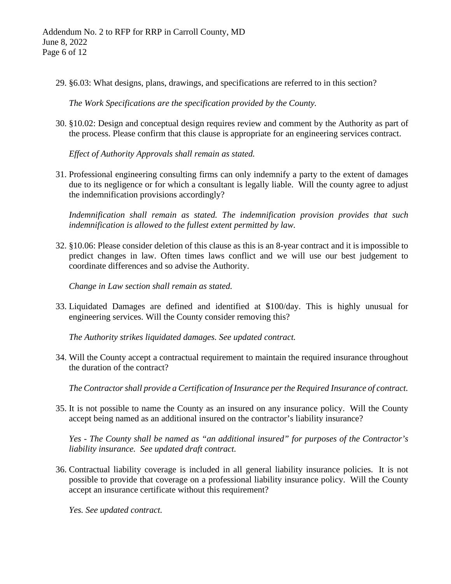29. §6.03: What designs, plans, drawings, and specifications are referred to in this section?

*The Work Specifications are the specification provided by the County.*

30. §10.02: Design and conceptual design requires review and comment by the Authority as part of the process. Please confirm that this clause is appropriate for an engineering services contract.

*Effect of Authority Approvals shall remain as stated.*

31. Professional engineering consulting firms can only indemnify a party to the extent of damages due to its negligence or for which a consultant is legally liable. Will the county agree to adjust the indemnification provisions accordingly?

*Indemnification shall remain as stated. The indemnification provision provides that such indemnification is allowed to the fullest extent permitted by law.*

32. §10.06: Please consider deletion of this clause as this is an 8-year contract and it is impossible to predict changes in law. Often times laws conflict and we will use our best judgement to coordinate differences and so advise the Authority.

*Change in Law section shall remain as stated.*

33. Liquidated Damages are defined and identified at \$100/day. This is highly unusual for engineering services. Will the County consider removing this?

*The Authority strikes liquidated damages. See updated contract.*

34. Will the County accept a contractual requirement to maintain the required insurance throughout the duration of the contract?

*The Contractorshall provide a Certification of Insurance per the Required Insurance of contract.*

35. It is not possible to name the County as an insured on any insurance policy. Will the County accept being named as an additional insured on the contractor's liability insurance?

*Yes - The County shall be named as "an additional insured" for purposes of the Contractor's liability insurance. See updated draft contract.*

36. Contractual liability coverage is included in all general liability insurance policies. It is not possible to provide that coverage on a professional liability insurance policy. Will the County accept an insurance certificate without this requirement?

*Yes. See updated contract.*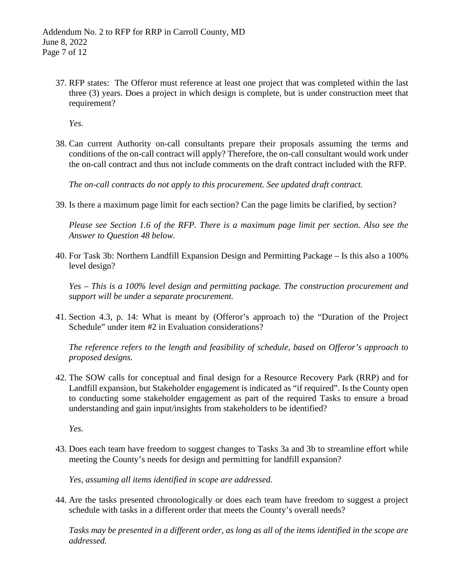37. RFP states: The Offeror must reference at least one project that was completed within the last three (3) years. Does a project in which design is complete, but is under construction meet that requirement?

*Yes.*

38. Can current Authority on-call consultants prepare their proposals assuming the terms and conditions of the on-call contract will apply? Therefore, the on-call consultant would work under the on-call contract and thus not include comments on the draft contract included with the RFP.

*The on-call contracts do not apply to this procurement. See updated draft contract.*

39. Is there a maximum page limit for each section? Can the page limits be clarified, by section?

*Please see Section 1.6 of the RFP. There is a maximum page limit per section. Also see the Answer to Question 48 below.*

40. For Task 3b: Northern Landfill Expansion Design and Permitting Package – Is this also a 100% level design?

*Yes – This is a 100% level design and permitting package. The construction procurement and support will be under a separate procurement.*

41. Section 4.3, p. 14: What is meant by (Offeror's approach to) the "Duration of the Project Schedule" under item #2 in Evaluation considerations?

*The reference refers to the length and feasibility of schedule, based on Offeror's approach to proposed designs.*

42. The SOW calls for conceptual and final design for a Resource Recovery Park (RRP) and for Landfill expansion, but Stakeholder engagement is indicated as "if required". Is the County open to conducting some stakeholder engagement as part of the required Tasks to ensure a broad understanding and gain input/insights from stakeholders to be identified?

*Yes.*

43. Does each team have freedom to suggest changes to Tasks 3a and 3b to streamline effort while meeting the County's needs for design and permitting for landfill expansion?

*Yes, assuming all items identified in scope are addressed.*

44. Are the tasks presented chronologically or does each team have freedom to suggest a project schedule with tasks in a different order that meets the County's overall needs?

*Tasks may be presented in a different order, as long as all of the items identified in the scope are addressed.*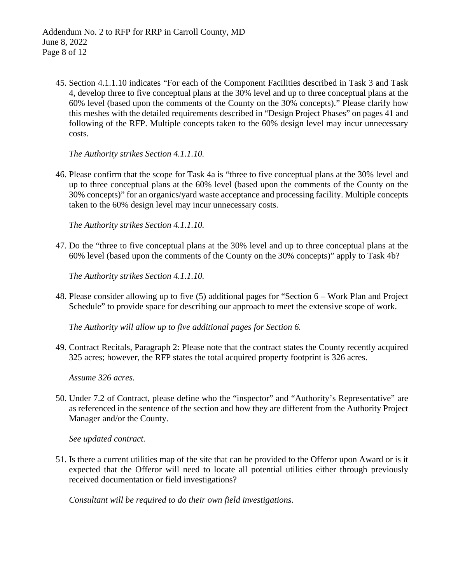45. Section 4.1.1.10 indicates "For each of the Component Facilities described in Task 3 and Task 4, develop three to five conceptual plans at the 30% level and up to three conceptual plans at the 60% level (based upon the comments of the County on the 30% concepts)." Please clarify how this meshes with the detailed requirements described in "Design Project Phases" on pages 41 and following of the RFP. Multiple concepts taken to the 60% design level may incur unnecessary costs.

*The Authority strikes Section 4.1.1.10.*

46. Please confirm that the scope for Task 4a is "three to five conceptual plans at the 30% level and up to three conceptual plans at the 60% level (based upon the comments of the County on the 30% concepts)" for an organics/yard waste acceptance and processing facility. Multiple concepts taken to the 60% design level may incur unnecessary costs.

*The Authority strikes Section 4.1.1.10.* 

47. Do the "three to five conceptual plans at the 30% level and up to three conceptual plans at the 60% level (based upon the comments of the County on the 30% concepts)" apply to Task 4b?

*The Authority strikes Section 4.1.1.10.*

48. Please consider allowing up to five (5) additional pages for "Section 6 – Work Plan and Project Schedule" to provide space for describing our approach to meet the extensive scope of work.

*The Authority will allow up to five additional pages for Section 6.*

49. Contract Recitals, Paragraph 2: Please note that the contract states the County recently acquired 325 acres; however, the RFP states the total acquired property footprint is 326 acres.

*Assume 326 acres.*

50. Under 7.2 of Contract, please define who the "inspector" and "Authority's Representative" are as referenced in the sentence of the section and how they are different from the Authority Project Manager and/or the County.

*See updated contract.*

51. Is there a current utilities map of the site that can be provided to the Offeror upon Award or is it expected that the Offeror will need to locate all potential utilities either through previously received documentation or field investigations?

*Consultant will be required to do their own field investigations.*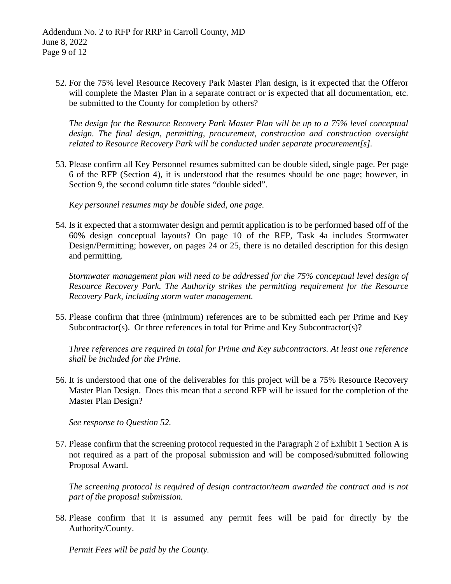52. For the 75% level Resource Recovery Park Master Plan design, is it expected that the Offeror will complete the Master Plan in a separate contract or is expected that all documentation, etc. be submitted to the County for completion by others?

*The design for the Resource Recovery Park Master Plan will be up to a 75% level conceptual design. The final design, permitting, procurement, construction and construction oversight related to Resource Recovery Park will be conducted under separate procurement[s].*

53. Please confirm all Key Personnel resumes submitted can be double sided, single page. Per page 6 of the RFP (Section 4), it is understood that the resumes should be one page; however, in Section 9, the second column title states "double sided".

*Key personnel resumes may be double sided, one page.*

54. Is it expected that a stormwater design and permit application is to be performed based off of the 60% design conceptual layouts? On page 10 of the RFP, Task 4a includes Stormwater Design/Permitting; however, on pages 24 or 25, there is no detailed description for this design and permitting.

*Stormwater management plan will need to be addressed for the 75% conceptual level design of Resource Recovery Park. The Authority strikes the permitting requirement for the Resource Recovery Park, including storm water management.*

55. Please confirm that three (minimum) references are to be submitted each per Prime and Key Subcontractor(s). Or three references in total for Prime and Key Subcontractor(s)?

*Three references are required in total for Prime and Key subcontractors. At least one reference shall be included for the Prime.*

56. It is understood that one of the deliverables for this project will be a 75% Resource Recovery Master Plan Design. Does this mean that a second RFP will be issued for the completion of the Master Plan Design?

*See response to Question 52.*

57. Please confirm that the screening protocol requested in the Paragraph 2 of Exhibit 1 Section A is not required as a part of the proposal submission and will be composed/submitted following Proposal Award.

*The screening protocol is required of design contractor/team awarded the contract and is not part of the proposal submission.*

58. Please confirm that it is assumed any permit fees will be paid for directly by the Authority/County.

*Permit Fees will be paid by the County.*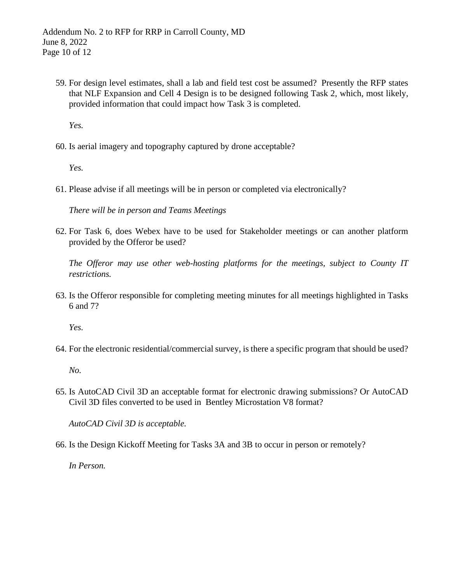59. For design level estimates, shall a lab and field test cost be assumed? Presently the RFP states that NLF Expansion and Cell 4 Design is to be designed following Task 2, which, most likely, provided information that could impact how Task 3 is completed.

*Yes.*

60. Is aerial imagery and topography captured by drone acceptable?

*Yes.*

61. Please advise if all meetings will be in person or completed via electronically?

*There will be in person and Teams Meetings*

62. For Task 6, does Webex have to be used for Stakeholder meetings or can another platform provided by the Offeror be used?

*The Offeror may use other web-hosting platforms for the meetings, subject to County IT restrictions.*

63. Is the Offeror responsible for completing meeting minutes for all meetings highlighted in Tasks 6 and 7?

*Yes.*

64. For the electronic residential/commercial survey, is there a specific program that should be used?

*No.*

65. Is AutoCAD Civil 3D an acceptable format for electronic drawing submissions? Or AutoCAD Civil 3D files converted to be used in Bentley Microstation V8 format?

*AutoCAD Civil 3D is acceptable.*

66. Is the Design Kickoff Meeting for Tasks 3A and 3B to occur in person or remotely?

*In Person.*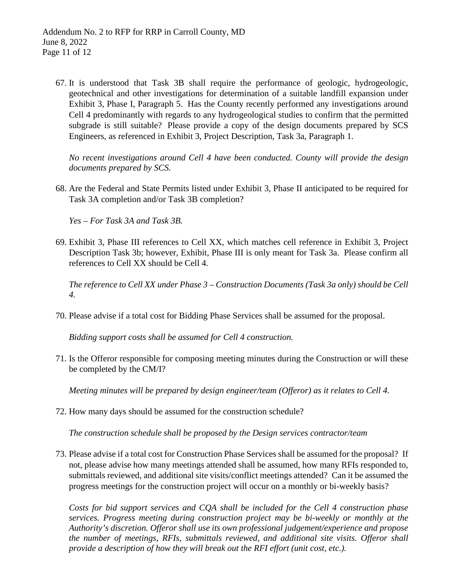67. It is understood that Task 3B shall require the performance of geologic, hydrogeologic, geotechnical and other investigations for determination of a suitable landfill expansion under Exhibit 3, Phase I, Paragraph 5. Has the County recently performed any investigations around Cell 4 predominantly with regards to any hydrogeological studies to confirm that the permitted subgrade is still suitable? Please provide a copy of the design documents prepared by SCS Engineers, as referenced in Exhibit 3, Project Description, Task 3a, Paragraph 1.

*No recent investigations around Cell 4 have been conducted. County will provide the design documents prepared by SCS.*

68. Are the Federal and State Permits listed under Exhibit 3, Phase II anticipated to be required for Task 3A completion and/or Task 3B completion?

*Yes – For Task 3A and Task 3B.*

69. Exhibit 3, Phase III references to Cell XX, which matches cell reference in Exhibit 3, Project Description Task 3b; however, Exhibit, Phase III is only meant for Task 3a. Please confirm all references to Cell XX should be Cell 4.

*The reference to Cell XX under Phase 3 – Construction Documents (Task 3a only) should be Cell 4.*

70. Please advise if a total cost for Bidding Phase Services shall be assumed for the proposal.

*Bidding support costs shall be assumed for Cell 4 construction.*

71. Is the Offeror responsible for composing meeting minutes during the Construction or will these be completed by the CM/I?

*Meeting minutes will be prepared by design engineer/team (Offeror) as it relates to Cell 4.*

72. How many days should be assumed for the construction schedule?

*The construction schedule shall be proposed by the Design services contractor/team*

73. Please advise if a total cost for Construction Phase Services shall be assumed for the proposal? If not, please advise how many meetings attended shall be assumed, how many RFIs responded to, submittals reviewed, and additional site visits/conflict meetings attended? Can it be assumed the progress meetings for the construction project will occur on a monthly or bi-weekly basis?

*Costs for bid support services and CQA shall be included for the Cell 4 construction phase services. Progress meeting during construction project may be bi-weekly or monthly at the Authority's discretion. Offeror shall use its own professional judgement/experience and propose the number of meetings, RFIs, submittals reviewed, and additional site visits. Offeror shall provide a description of how they will break out the RFI effort (unit cost, etc.).*